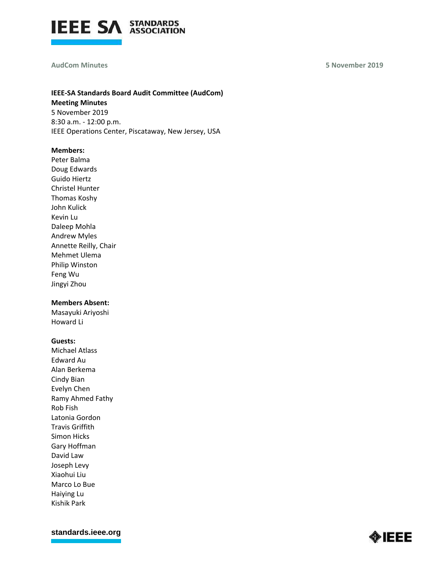

#### **AudCom Minutes**

**5 November 2019**

# **IEEE-SA Standards Board Audit Committee (AudCom) Meeting Minutes** 5 November 2019 8:30 a.m. - 12:00 p.m. IEEE Operations Center, Piscataway, New Jersey, USA

**Members:** 

Peter Balma Doug Edwards Guido Hiertz Christel Hunter Thomas Koshy John Kulick Kevin Lu Daleep Mohla Andrew Myles Annette Reilly, Chair Mehmet Ulema Philip Winston Feng Wu Jingyi Zhou

### **Members Absent:**

Masayuki Ariyoshi Howard Li

### **Guests:**

Michael Atlass Edward Au Alan Berkema Cindy Bian Evelyn Chen Ramy Ahmed Fathy Rob Fish Latonia Gordon Travis Griffith Simon Hicks Gary Hoffman David Law Joseph Levy Xiaohui Liu Marco Lo Bue Haiying Lu Kishik Park

**[standards.ieee.org](http://standards.ieee.org/)**

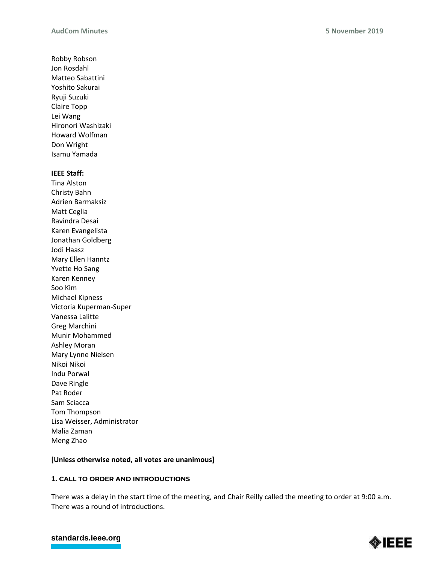Robby Robson Jon Rosdahl Matteo Sabattini Yoshito Sakurai Ryuji Suzuki Claire Topp Lei Wang Hironori Washizaki Howard Wolfman Don Wright Isamu Yamada

### **IEEE Staff:**

Tina Alston Christy Bahn Adrien Barmaksiz Matt Ceglia Ravindra Desai Karen Evangelista Jonathan Goldberg Jodi Haasz Mary Ellen Hanntz Yvette Ho Sang Karen Kenney Soo Kim Michael Kipness Victoria Kuperman-Super Vanessa Lalitte Greg Marchini Munir Mohammed Ashley Moran Mary Lynne Nielsen Nikoi Nikoi Indu Porwal Dave Ringle Pat Roder Sam Sciacca Tom Thompson Lisa Weisser, Administrator Malia Zaman Meng Zhao

## **[Unless otherwise noted, all votes are unanimous]**

## **1. CALL TO ORDER AND INTRODUCTIONS**

There was a delay in the start time of the meeting, and Chair Reilly called the meeting to order at 9:00 a.m. There was a round of introductions.



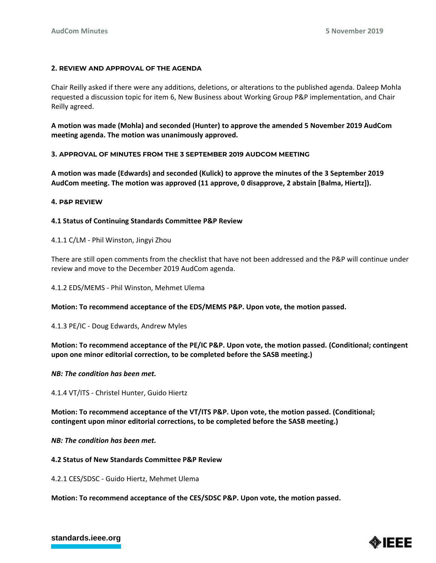### **2. REVIEW AND APPROVAL OF THE AGENDA**

Chair Reilly asked if there were any additions, deletions, or alterations to the published agenda. Daleep Mohla requested a discussion topic for item 6, New Business about Working Group P&P implementation, and Chair Reilly agreed.

**A motion was made (Mohla) and seconded (Hunter) to approve the amended 5 November 2019 AudCom meeting agenda. The motion was unanimously approved.**

### **3. APPROVAL OF MINUTES FROM THE 3 SEPTEMBER 2019 AUDCOM MEETING**

**A motion was made (Edwards) and seconded (Kulick) to approve the minutes of the 3 September 2019 AudCom meeting. The motion was approved (11 approve, 0 disapprove, 2 abstain [Balma, Hiertz]).**

### **4. P&P REVIEW**

### **4.1 Status of Continuing Standards Committee P&P Review**

4.1.1 C/LM - Phil Winston, Jingyi Zhou

There are still open comments from the checklist that have not been addressed and the P&P will continue under review and move to the December 2019 AudCom agenda.

4.1.2 EDS/MEMS - Phil Winston, Mehmet Ulema

**Motion: To recommend acceptance of the EDS/MEMS P&P. Upon vote, the motion passed.**

4.1.3 PE/IC - Doug Edwards, Andrew Myles

## **Motion: To recommend acceptance of the PE/IC P&P. Upon vote, the motion passed. (Conditional; contingent upon one minor editorial correction, to be completed before the SASB meeting.)**

### *NB: The condition has been met.*

4.1.4 VT/ITS - Christel Hunter, Guido Hiertz

**Motion: To recommend acceptance of the VT/ITS P&P. Upon vote, the motion passed. (Conditional; contingent upon minor editorial corrections, to be completed before the SASB meeting.)**

### *NB: The condition has been met.*

### **4.2 Status of New Standards Committee P&P Review**

4.2.1 CES/SDSC - Guido Hiertz, Mehmet Ulema

**Motion: To recommend acceptance of the CES/SDSC P&P. Upon vote, the motion passed.**



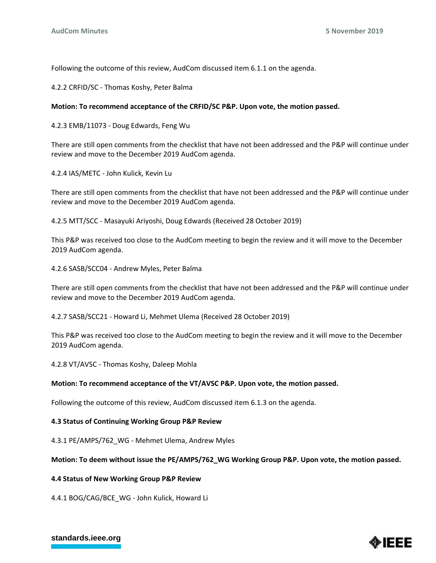Following the outcome of this review, AudCom discussed item 6.1.1 on the agenda.

4.2.2 CRFID/SC - Thomas Koshy, Peter Balma

### **Motion: To recommend acceptance of the CRFID/SC P&P. Upon vote, the motion passed.**

4.2.3 EMB/11073 - Doug Edwards, Feng Wu

There are still open comments from the checklist that have not been addressed and the P&P will continue under review and move to the December 2019 AudCom agenda.

4.2.4 IAS/METC - John Kulick, Kevin Lu

There are still open comments from the checklist that have not been addressed and the P&P will continue under review and move to the December 2019 AudCom agenda.

4.2.5 MTT/SCC - Masayuki Ariyoshi, Doug Edwards (Received 28 October 2019)

This P&P was received too close to the AudCom meeting to begin the review and it will move to the December 2019 AudCom agenda.

4.2.6 SASB/SCC04 - Andrew Myles, Peter Balma

There are still open comments from the checklist that have not been addressed and the P&P will continue under review and move to the December 2019 AudCom agenda.

4.2.7 SASB/SCC21 - Howard Li, Mehmet Ulema (Received 28 October 2019)

This P&P was received too close to the AudCom meeting to begin the review and it will move to the December 2019 AudCom agenda.

4.2.8 VT/AVSC - Thomas Koshy, Daleep Mohla

### **Motion: To recommend acceptance of the VT/AVSC P&P. Upon vote, the motion passed.**

Following the outcome of this review, AudCom discussed item 6.1.3 on the agenda.

### **4.3 Status of Continuing Working Group P&P Review**

4.3.1 PE/AMPS/762 WG - Mehmet Ulema, Andrew Myles

### **Motion: To deem without issue the PE/AMPS/762\_WG Working Group P&P. Upon vote, the motion passed.**

### **4.4 Status of New Working Group P&P Review**

4.4.1 BOG/CAG/BCE\_WG - John Kulick, Howard Li



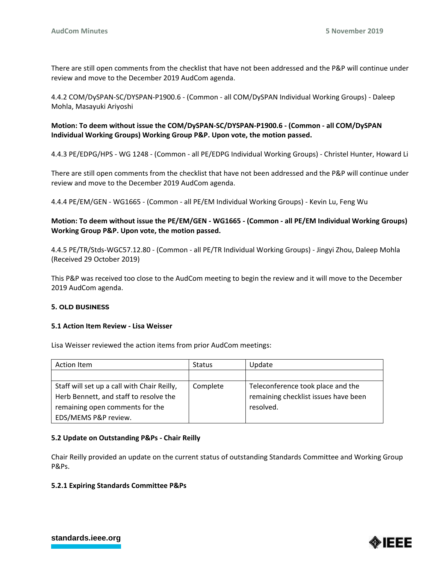There are still open comments from the checklist that have not been addressed and the P&P will continue under review and move to the December 2019 AudCom agenda.

4.4.2 COM/DySPAN-SC/DYSPAN-P1900.6 - (Common - all COM/DySPAN Individual Working Groups) - Daleep Mohla, Masayuki Ariyoshi

## **Motion: To deem without issue the COM/DySPAN-SC/DYSPAN-P1900.6 - (Common - all COM/DySPAN Individual Working Groups) Working Group P&P. Upon vote, the motion passed.**

4.4.3 PE/EDPG/HPS - WG 1248 - (Common - all PE/EDPG Individual Working Groups) - Christel Hunter, Howard Li

There are still open comments from the checklist that have not been addressed and the P&P will continue under review and move to the December 2019 AudCom agenda.

4.4.4 PE/EM/GEN - WG1665 - (Common - all PE/EM Individual Working Groups) - Kevin Lu, Feng Wu

## **Motion: To deem without issue the PE/EM/GEN - WG1665 - (Common - all PE/EM Individual Working Groups) Working Group P&P. Upon vote, the motion passed.**

4.4.5 PE/TR/Stds-WGC57.12.80 - (Common - all PE/TR Individual Working Groups) - Jingyi Zhou, Daleep Mohla (Received 29 October 2019)

This P&P was received too close to the AudCom meeting to begin the review and it will move to the December 2019 AudCom agenda.

### **5. OLD BUSINESS**

### **5.1 Action Item Review - Lisa Weisser**

Lisa Weisser reviewed the action items from prior AudCom meetings:

| Action Item                                 | <b>Status</b> | Update                               |
|---------------------------------------------|---------------|--------------------------------------|
|                                             |               |                                      |
| Staff will set up a call with Chair Reilly, | Complete      | Teleconference took place and the    |
| Herb Bennett, and staff to resolve the      |               | remaining checklist issues have been |
| remaining open comments for the             |               | resolved.                            |
| EDS/MEMS P&P review.                        |               |                                      |

### **5.2 Update on Outstanding P&Ps - Chair Reilly**

Chair Reilly provided an update on the current status of outstanding Standards Committee and Working Group P&Ps.

### **5.2.1 Expiring Standards Committee P&Ps**



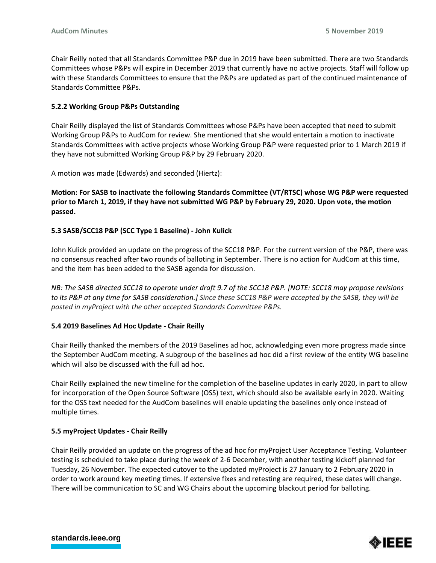Chair Reilly noted that all Standards Committee P&P due in 2019 have been submitted. There are two Standards Committees whose P&Ps will expire in December 2019 that currently have no active projects. Staff will follow up with these Standards Committees to ensure that the P&Ps are updated as part of the continued maintenance of Standards Committee P&Ps.

## **5.2.2 Working Group P&Ps Outstanding**

Chair Reilly displayed the list of Standards Committees whose P&Ps have been accepted that need to submit Working Group P&Ps to AudCom for review. She mentioned that she would entertain a motion to inactivate Standards Committees with active projects whose Working Group P&P were requested prior to 1 March 2019 if they have not submitted Working Group P&P by 29 February 2020.

A motion was made (Edwards) and seconded (Hiertz):

**Motion: For SASB to inactivate the following Standards Committee (VT/RTSC) whose WG P&P were requested prior to March 1, 2019, if they have not submitted WG P&P by February 29, 2020. Upon vote, the motion passed.**

# **5.3 SASB/SCC18 P&P (SCC Type 1 Baseline) - John Kulick**

John Kulick provided an update on the progress of the SCC18 P&P. For the current version of the P&P, there was no consensus reached after two rounds of balloting in September. There is no action for AudCom at this time, and the item has been added to the SASB agenda for discussion.

*NB: The SASB directed SCC18 to operate under draft 9.7 of the SCC18 P&P. [NOTE: SCC18 may propose revisions to its P&P at any time for SASB consideration.] Since these SCC18 P&P were accepted by the SASB, they will be posted in myProject with the other accepted Standards Committee P&Ps.*

## **5.4 2019 Baselines Ad Hoc Update - Chair Reilly**

Chair Reilly thanked the members of the 2019 Baselines ad hoc, acknowledging even more progress made since the September AudCom meeting. A subgroup of the baselines ad hoc did a first review of the entity WG baseline which will also be discussed with the full ad hoc.

Chair Reilly explained the new timeline for the completion of the baseline updates in early 2020, in part to allow for incorporation of the Open Source Software (OSS) text, which should also be available early in 2020. Waiting for the OSS text needed for the AudCom baselines will enable updating the baselines only once instead of multiple times.

## **5.5 myProject Updates - Chair Reilly**

Chair Reilly provided an update on the progress of the ad hoc for myProject User Acceptance Testing. Volunteer testing is scheduled to take place during the week of 2-6 December, with another testing kickoff planned for Tuesday, 26 November. The expected cutover to the updated myProject is 27 January to 2 February 2020 in order to work around key meeting times. If extensive fixes and retesting are required, these dates will change. There will be communication to SC and WG Chairs about the upcoming blackout period for balloting.